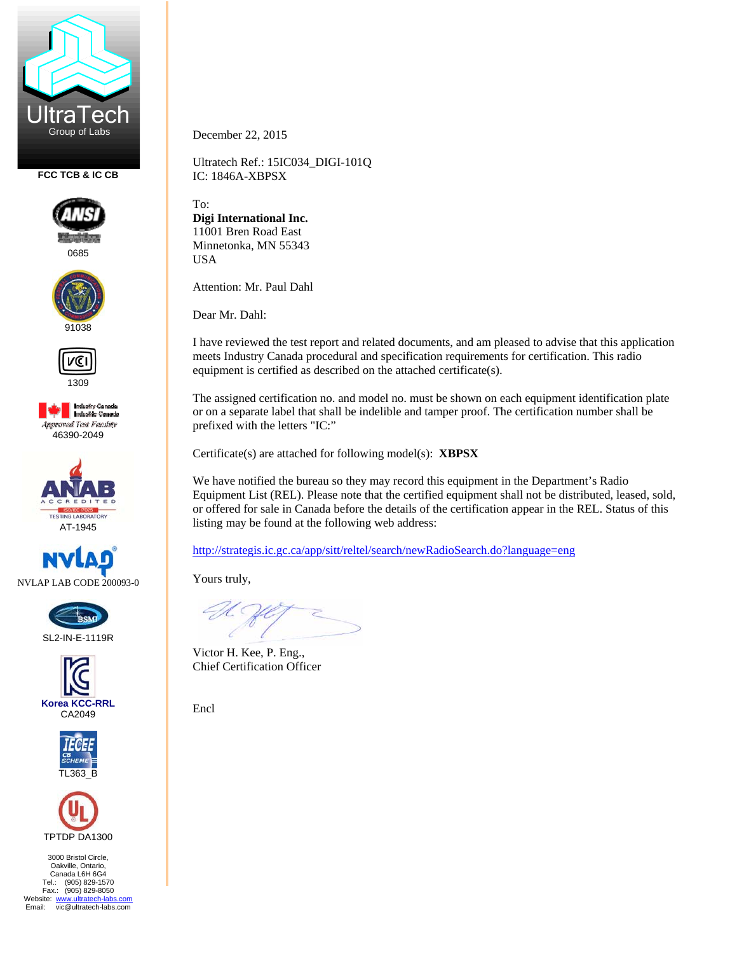

**FCC TCB & IC CB** 



0685





1309

**Industry Canada**<br>Industrie Canada **Approved Test Facility** 46390-2049





SL2-IN-E-1119R







3000 Bristol Circle, Oakville, Ontario, Canada L6H 6G4 Tel.: (905) 829-1570 Fax.: (905) 829-8050 Website: www.ultratech-labs.com<br>Email: vic@ultratech-labs.com December 22, 2015

Ultratech Ref.: 15IC034\_DIGI-101Q IC: 1846A-XBPSX

To: **Digi International Inc.**  11001 Bren Road East Minnetonka, MN 55343 USA

Attention: Mr. Paul Dahl

Dear Mr. Dahl:

I have reviewed the test report and related documents, and am pleased to advise that this application meets Industry Canada procedural and specification requirements for certification. This radio equipment is certified as described on the attached certificate(s).

The assigned certification no. and model no. must be shown on each equipment identification plate or on a separate label that shall be indelible and tamper proof. The certification number shall be prefixed with the letters "IC:"

Certificate(s) are attached for following model(s): **XBPSX**

We have notified the bureau so they may record this equipment in the Department's Radio Equipment List (REL). Please note that the certified equipment shall not be distributed, leased, sold, or offered for sale in Canada before the details of the certification appear in the REL. Status of this listing may be found at the following web address:

http://strategis.ic.gc.ca/app/sitt/reltel/search/newRadioSearch.do?language=eng

Yours truly,

Victor H. Kee, P. Eng., Chief Certification Officer

Encl